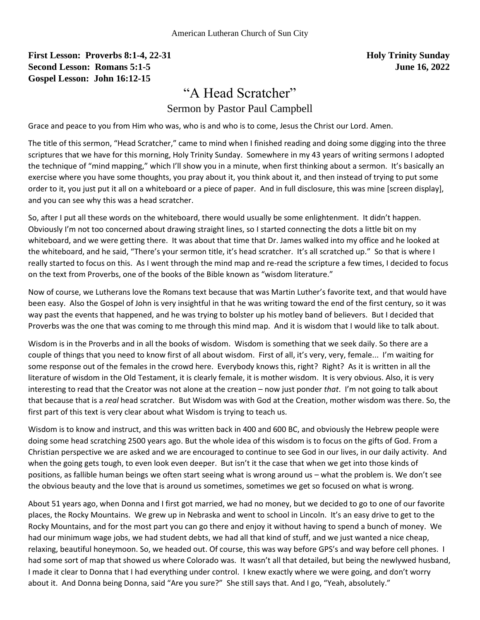## **First Lesson: Proverbs 8:1-4, 22-31 Holy Trinity Sunday Holy Trinity Sunday Second Lesson: Romans 5:1-5 June 16, 2022 Gospel Lesson: John 16:12-15**

## "A Head Scratcher"

Sermon by Pastor Paul Campbell

Grace and peace to you from Him who was, who is and who is to come, Jesus the Christ our Lord. Amen.

The title of this sermon, "Head Scratcher," came to mind when I finished reading and doing some digging into the three scriptures that we have for this morning, Holy Trinity Sunday. Somewhere in my 43 years of writing sermons I adopted the technique of "mind mapping," which I'll show you in a minute, when first thinking about a sermon. It's basically an exercise where you have some thoughts, you pray about it, you think about it, and then instead of trying to put some order to it, you just put it all on a whiteboard or a piece of paper. And in full disclosure, this was mine [screen display], and you can see why this was a head scratcher.

So, after I put all these words on the whiteboard, there would usually be some enlightenment. It didn't happen. Obviously I'm not too concerned about drawing straight lines, so I started connecting the dots a little bit on my whiteboard, and we were getting there. It was about that time that Dr. James walked into my office and he looked at the whiteboard, and he said, "There's your sermon title, it's head scratcher. It's all scratched up." So that is where I really started to focus on this. As I went through the mind map and re-read the scripture a few times, I decided to focus on the text from Proverbs, one of the books of the Bible known as "wisdom literature."

Now of course, we Lutherans love the Romans text because that was Martin Luther's favorite text, and that would have been easy. Also the Gospel of John is very insightful in that he was writing toward the end of the first century, so it was way past the events that happened, and he was trying to bolster up his motley band of believers. But I decided that Proverbs was the one that was coming to me through this mind map. And it is wisdom that I would like to talk about.

Wisdom is in the Proverbs and in all the books of wisdom. Wisdom is something that we seek daily. So there are a couple of things that you need to know first of all about wisdom. First of all, it's very, very, female... I'm waiting for some response out of the females in the crowd here. Everybody knows this, right? Right? As it is written in all the literature of wisdom in the Old Testament, it is clearly female, it is mother wisdom. It is very obvious. Also, it is very interesting to read that the Creator was not alone at the creation – now just ponder *that*. I'm not going to talk about that because that is a *real* head scratcher. But Wisdom was with God at the Creation, mother wisdom was there. So, the first part of this text is very clear about what Wisdom is trying to teach us.

Wisdom is to know and instruct, and this was written back in 400 and 600 BC, and obviously the Hebrew people were doing some head scratching 2500 years ago. But the whole idea of this wisdom is to focus on the gifts of God. From a Christian perspective we are asked and we are encouraged to continue to see God in our lives, in our daily activity. And when the going gets tough, to even look even deeper. But isn't it the case that when we get into those kinds of positions, as fallible human beings we often start seeing what is wrong around us – what the problem is. We don't see the obvious beauty and the love that is around us sometimes, sometimes we get so focused on what is wrong.

About 51 years ago, when Donna and I first got married, we had no money, but we decided to go to one of our favorite places, the Rocky Mountains. We grew up in Nebraska and went to school in Lincoln. It's an easy drive to get to the Rocky Mountains, and for the most part you can go there and enjoy it without having to spend a bunch of money. We had our minimum wage jobs, we had student debts, we had all that kind of stuff, and we just wanted a nice cheap, relaxing, beautiful honeymoon. So, we headed out. Of course, this was way before GPS's and way before cell phones. I had some sort of map that showed us where Colorado was. It wasn't all that detailed, but being the newlywed husband, I made it clear to Donna that I had everything under control. I knew exactly where we were going, and don't worry about it. And Donna being Donna, said "Are you sure?" She still says that. And I go, "Yeah, absolutely."